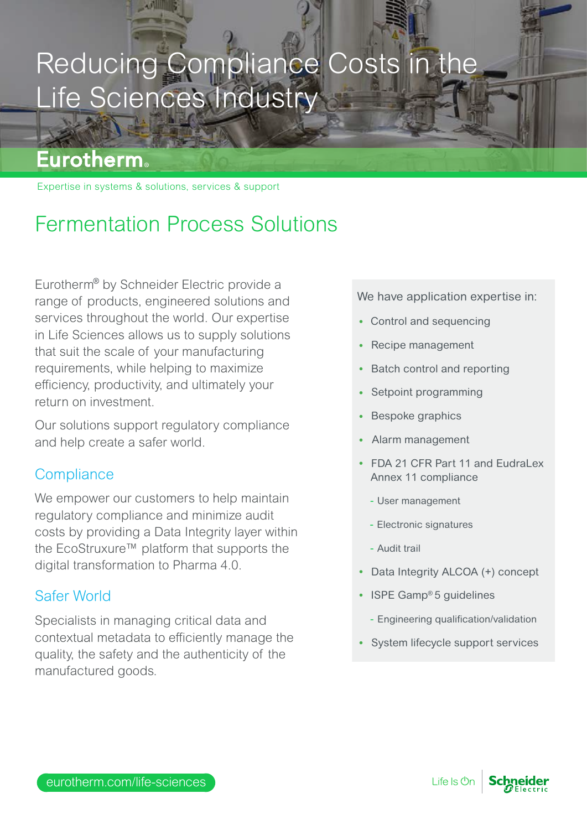# Reducing Compliance Costs in the Life Sciences Industry

### **Eurotherm**

Expertise in systems & solutions, services & support

## Fermentation Process Solutions

Eurotherm<sup>®</sup> by Schneider Electric provide a range of products, engineered solutions and services throughout the world. Our expertise in Life Sciences allows us to supply solutions that suit the scale of your manufacturing requirements, while helping to maximize efficiency, productivity, and ultimately your return on investment.

Our solutions support regulatory compliance and help create a safer world.

#### **Compliance**

We empower our customers to help maintain regulatory compliance and minimize audit costs by providing a Data Integrity layer within the EcoStruxure™ platform that supports the digital transformation to Pharma 4.0.

#### Safer World

Specialists in managing critical data and contextual metadata to efficiently manage the quality, the safety and the authenticity of the manufactured goods.

We have application expertise in:

- Control and sequencing
- Recipe management
- Batch control and reporting
- Setpoint programming
- Bespoke graphics
- Alarm management
- FDA 21 CFR Part 11 and Fudral ex Annex 11 compliance
	- User management
	- Electronic signatures
	- Audit trail
- Data Integrity ALCOA (+) concept
- ISPE Gamp® 5 guidelines
	- Engineering qualification/validation
- System lifecycle support services

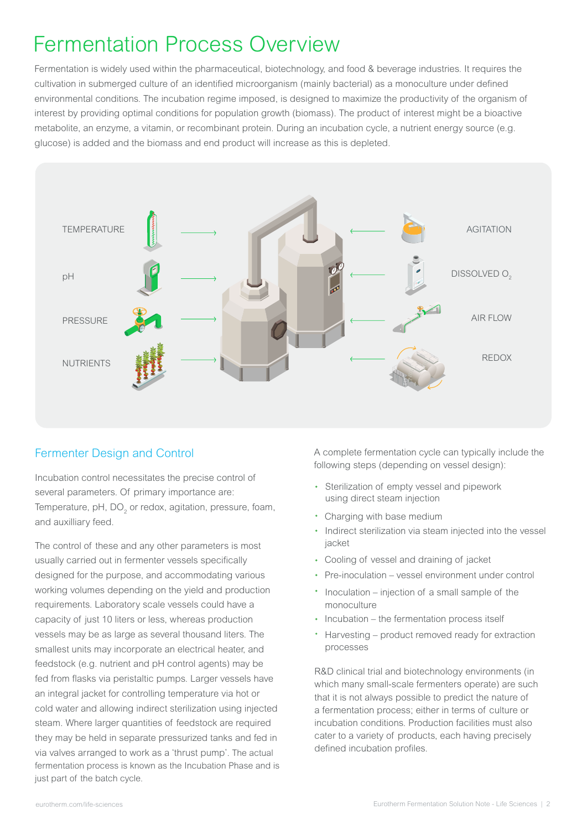## Fermentation Process Overview

Fermentation is widely used within the pharmaceutical, biotechnology, and food & beverage industries. It requires the cultivation in submerged culture of an identified microorganism (mainly bacterial) as a monoculture under defined environmental conditions. The incubation regime imposed, is designed to maximize the productivity of the organism of interest by providing optimal conditions for population growth (biomass). The product of interest might be a bioactive metabolite, an enzyme, a vitamin, or recombinant protein. During an incubation cycle, a nutrient energy source (e.g. glucose) is added and the biomass and end product will increase as this is depleted.



#### Fermenter Design and Control

Incubation control necessitates the precise control of several parameters. Of primary importance are: Temperature, pH, DO<sub>2</sub> or redox, agitation, pressure, foam, and auxilliary feed.

The control of these and any other parameters is most usually carried out in fermenter vessels specifically designed for the purpose, and accommodating various working volumes depending on the yield and production requirements. Laboratory scale vessels could have a capacity of just 10 liters or less, whereas production vessels may be as large as several thousand liters. The smallest units may incorporate an electrical heater, and feedstock (e.g. nutrient and pH control agents) may be fed from flasks via peristaltic pumps. Larger vessels have an integral jacket for controlling temperature via hot or cold water and allowing indirect sterilization using injected steam. Where larger quantities of feedstock are required they may be held in separate pressurized tanks and fed in via valves arranged to work as a 'thrust pump'. The actual fermentation process is known as the Incubation Phase and is just part of the batch cycle.

A complete fermentation cycle can typically include the following steps (depending on vessel design):

- Sterilization of empty vessel and pipework using direct steam injection
- Charging with base medium
- Indirect sterilization via steam injected into the vessel jacket
- Cooling of vessel and draining of jacket
- Pre-inoculation vessel environment under control
- Inoculation injection of a small sample of the monoculture
- Incubation the fermentation process itself
- Harvesting product removed ready for extraction processes

R&D clinical trial and biotechnology environments (in which many small-scale fermenters operate) are such that it is not always possible to predict the nature of a fermentation process; either in terms of culture or incubation conditions. Production facilities must also cater to a variety of products, each having precisely defined incubation profiles.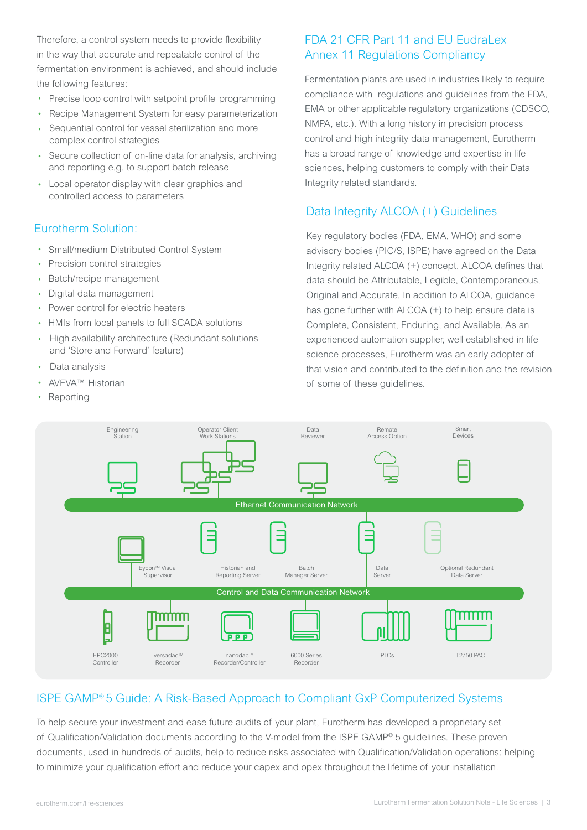Therefore, a control system needs to provide flexibility in the way that accurate and repeatable control of the fermentation environment is achieved, and should include the following features:

- Precise loop control with setpoint profile programming
- Recipe Management System for easy parameterization
- j Sequential control for vessel sterilization and more complex control strategies
- ľ Secure collection of on-line data for analysis, archiving and reporting e.g. to support batch release
- Local operator display with clear graphics and controlled access to parameters

#### Eurotherm Solution:

- Small/medium Distributed Control System
- Precision control strategies
- Batch/recipe management
- Digital data management
- Power control for electric heaters
- HMIs from local panels to full SCADA solutions
- High availability architecture (Redundant solutions  $\bullet$  . and 'Store and Forward' feature)
- Data analysis
- AVEVA™ Historian
- Reporting

#### FDA 21 CFR Part 11 and EU EudraLex Annex 11 Regulations Compliancy

Fermentation plants are used in industries likely to require compliance with regulations and guidelines from the FDA, EMA or other applicable regulatory organizations (CDSCO, NMPA, etc.). With a long history in precision process control and high integrity data management, Eurotherm has a broad range of knowledge and expertise in life sciences, helping customers to comply with their Data Integrity related standards.

#### Data Integrity ALCOA (+) Guidelines

Key regulatory bodies (FDA, EMA, WHO) and some advisory bodies (PIC/S, ISPE) have agreed on the Data Integrity related ALCOA (+) concept. ALCOA defines that data should be Attributable, Legible, Contemporaneous, Original and Accurate. In addition to ALCOA, guidance has gone further with ALCOA (+) to help ensure data is Complete, Consistent, Enduring, and Available. As an experienced automation supplier, well established in life science processes, Eurotherm was an early adopter of that vision and contributed to the definition and the revision of some of these guidelines.



#### ISPE GAMP® 5 Guide: A Risk-Based Approach to Compliant GxP Computerized Systems

To help secure your investment and ease future audits of your plant, Eurotherm has developed a proprietary set of Qualification/Validation documents according to the V-model from the ISPE GAMP® 5 guidelines. These proven documents, used in hundreds of audits, help to reduce risks associated with Qualification/Validation operations: helping to minimize your qualification effort and reduce your capex and opex throughout the lifetime of your installation.